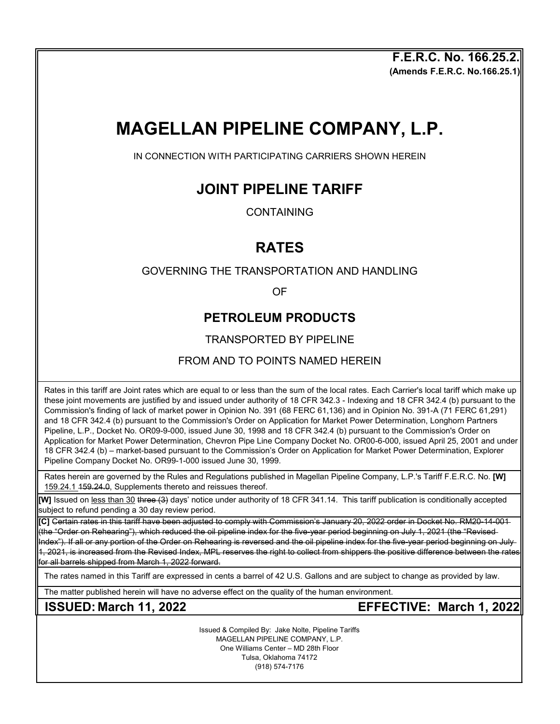**(Amends F.E.R.C. No.166.25.1) F.E.R.C. No. 166.25.2.**

# **MAGELLAN PIPELINE COMPANY, L.P.**

IN CONNECTION WITH PARTICIPATING CARRIERS SHOWN HEREIN

# **JOINT PIPELINE TARIFF**

CONTAINING

# **RATES**

#### GOVERNING THE TRANSPORTATION AND HANDLING

OF

## **PETROLEUM PRODUCTS**

### TRANSPORTED BY PIPELINE

#### FROM AND TO POINTS NAMED HEREIN

Rates in this tariff are Joint rates which are equal to or less than the sum of the local rates. Each Carrier's local tariff which make up these joint movements are justified by and issued under authority of 18 CFR 342.3 - Indexing and 18 CFR 342.4 (b) pursuant to the Commission's finding of lack of market power in Opinion No. 391 (68 FERC 61,136) and in Opinion No. 391-A (71 FERC 61,291) and 18 CFR 342.4 (b) pursuant to the Commission's Order on Application for Market Power Determination, Longhorn Partners Pipeline, L.P., Docket No. OR09-9-000, issued June 30, 1998 and 18 CFR 342.4 (b) pursuant to the Commission's Order on Application for Market Power Determination, Chevron Pipe Line Company Docket No. OR00-6-000, issued April 25, 2001 and under 18 CFR 342.4 (b) – market-based pursuant to the Commission's Order on Application for Market Power Determination, Explorer Pipeline Company Docket No. OR99-1-000 issued June 30, 1999.

Rates herein are governed by the Rules and Regulations published in Magellan Pipeline Company, L.P.'s Tariff F.E.R.C. No. **[W]**  159.24.1 159.24.0, Supplements thereto and reissues thereof.

**[W]** Issued on less than 30 three (3) days' notice under authority of 18 CFR 341.14. This tariff publication is conditionally accepted subject to refund pending a 30 day review period.

**[C]** Certain rates in this tariff have been adjusted to comply with Commission's January 20, 2022 order in Docket No. RM20-14-001 the "Order on Rehearing"), which reduced the oil pipeline index for the five-year period beginning on July 1, 2021 (the "Revised-Index"). If all or any portion of the Order on Rehearing is reversed and the oil pipeline index for the five-year period beginning on July 1, 2021, is increased from the Revised Index, MPL reserves the right to collect from shippers the positive difference between the rates for all barrels shipped from March 1, 2022 forward.

The rates named in this Tariff are expressed in cents a barrel of 42 U.S. Gallons and are subject to change as provided by law.

The matter published herein will have no adverse effect on the quality of the human environment.

**ISSUED: March 11, 2022 EFFECTIVE: March 1, 2022**

Issued & Compiled By: Jake Nolte, Pipeline Tariffs MAGELLAN PIPELINE COMPANY, L.P. One Williams Center – MD 28th Floor Tulsa, Oklahoma 74172 (918) 574-7176